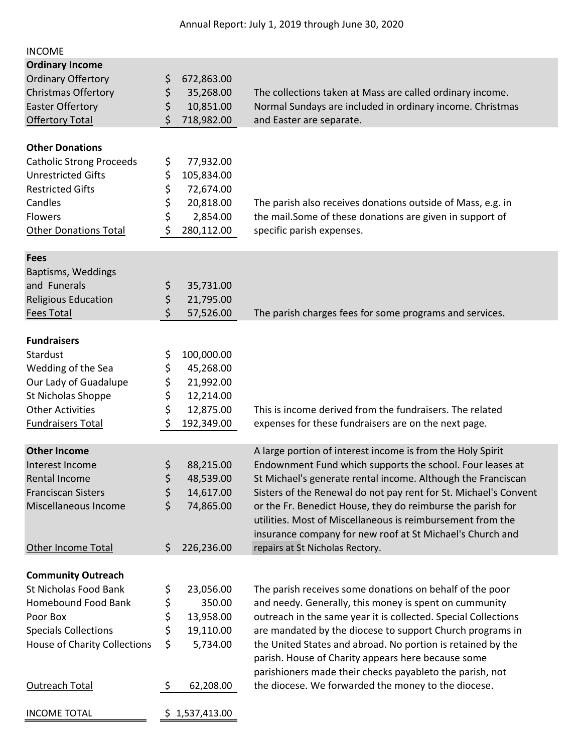| <b>INCOME</b>                       |          |                |                                                                  |
|-------------------------------------|----------|----------------|------------------------------------------------------------------|
| <b>Ordinary Income</b>              |          |                |                                                                  |
| <b>Ordinary Offertory</b>           | \$       | 672,863.00     |                                                                  |
| <b>Christmas Offertory</b>          | \$       | 35,268.00      | The collections taken at Mass are called ordinary income.        |
| <b>Easter Offertory</b>             | \$       | 10,851.00      | Normal Sundays are included in ordinary income. Christmas        |
| <b>Offertory Total</b>              | \$       | 718,982.00     | and Easter are separate.                                         |
|                                     |          |                |                                                                  |
| <b>Other Donations</b>              |          |                |                                                                  |
| <b>Catholic Strong Proceeds</b>     | \$       | 77,932.00      |                                                                  |
| <b>Unrestricted Gifts</b>           | \$       | 105,834.00     |                                                                  |
| <b>Restricted Gifts</b>             | \$       | 72,674.00      |                                                                  |
| Candles                             | \$       | 20,818.00      | The parish also receives donations outside of Mass, e.g. in      |
| <b>Flowers</b>                      | \$       | 2,854.00       | the mail. Some of these donations are given in support of        |
| <b>Other Donations Total</b>        | \$       | 280,112.00     | specific parish expenses.                                        |
|                                     |          |                |                                                                  |
| <b>Fees</b>                         |          |                |                                                                  |
| Baptisms, Weddings                  |          |                |                                                                  |
| and Funerals                        | \$       | 35,731.00      |                                                                  |
| <b>Religious Education</b>          | \$       | 21,795.00      |                                                                  |
| <b>Fees Total</b>                   | \$       | 57,526.00      | The parish charges fees for some programs and services.          |
|                                     |          |                |                                                                  |
| <b>Fundraisers</b>                  |          |                |                                                                  |
| Stardust                            | \$       | 100,000.00     |                                                                  |
| Wedding of the Sea                  | \$       | 45,268.00      |                                                                  |
| Our Lady of Guadalupe               | \$       | 21,992.00      |                                                                  |
| St Nicholas Shoppe                  | \$       | 12,214.00      |                                                                  |
| <b>Other Activities</b>             | \$       | 12,875.00      | This is income derived from the fundraisers. The related         |
| <b>Fundraisers Total</b>            | \$       | 192,349.00     | expenses for these fundraisers are on the next page.             |
|                                     |          |                |                                                                  |
| <b>Other Income</b>                 |          |                | A large portion of interest income is from the Holy Spirit       |
| Interest Income                     | \$       | 88,215.00      | Endownment Fund which supports the school. Four leases at        |
| Rental Income                       | \$       | 48,539.00      | St Michael's generate rental income. Although the Franciscan     |
| <b>Franciscan Sisters</b>           | \$       | 14,617.00      | Sisters of the Renewal do not pay rent for St. Michael's Convent |
| Miscellaneous Income                | \$       | 74,865.00      | or the Fr. Benedict House, they do reimburse the parish for      |
|                                     |          |                | utilities. Most of Miscellaneous is reimbursement from the       |
|                                     |          |                | insurance company for new roof at St Michael's Church and        |
| Other Income Total                  | \$       | 226,236.00     | repairs at St Nicholas Rectory.                                  |
|                                     |          |                |                                                                  |
| <b>Community Outreach</b>           |          |                |                                                                  |
| St Nicholas Food Bank               | \$       | 23,056.00      | The parish receives some donations on behalf of the poor         |
| <b>Homebound Food Bank</b>          | \$<br>\$ | 350.00         | and needy. Generally, this money is spent on cummunity           |
| Poor Box                            |          | 13,958.00      | outreach in the same year it is collected. Special Collections   |
| <b>Specials Collections</b>         | \$       | 19,110.00      | are mandated by the diocese to support Church programs in        |
| <b>House of Charity Collections</b> | \$       | 5,734.00       | the United States and abroad. No portion is retained by the      |
|                                     |          |                | parish. House of Charity appears here because some               |
|                                     |          |                | parishioners made their checks payableto the parish, not         |
| Outreach Total                      | \$       | 62,208.00      | the diocese. We forwarded the money to the diocese.              |
|                                     |          |                |                                                                  |
| <b>INCOME TOTAL</b>                 |          | \$1,537,413.00 |                                                                  |